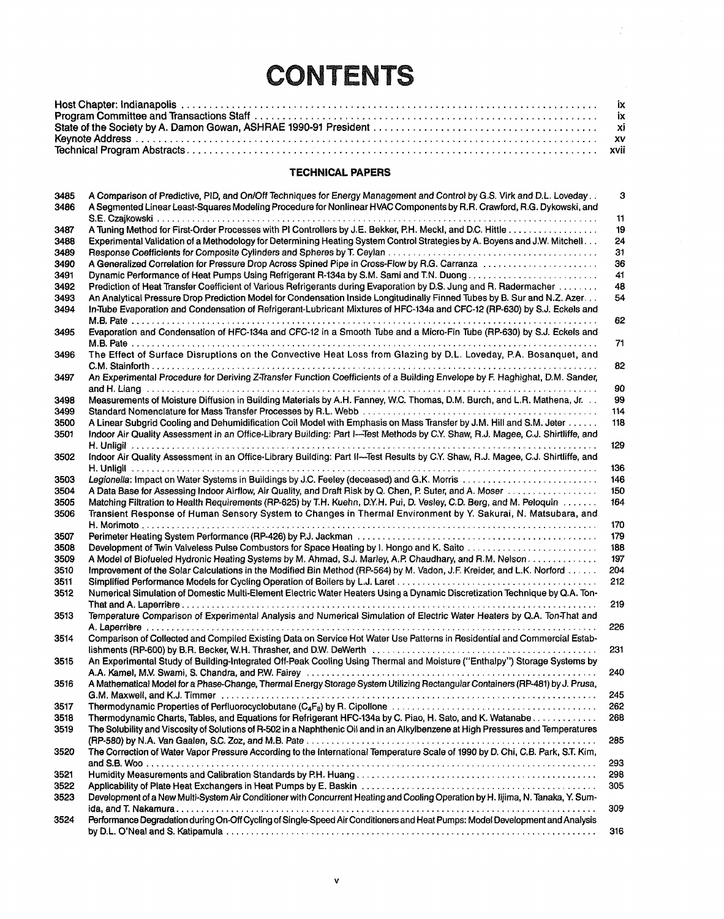## **CONTENTS**

## **TECHNICAL PAPERS**

| 3485<br>3486 | A Comparison of Predictive, PID, and On/Off Techniques for Energy Management and Control by G.S. Virk and D.L. Loveday<br>A Segmented Linear Least-Squares Modeling Procedure for Nonlinear HVAC Components by R.R. Crawford, R.G. Dykowski, and | 3   |
|--------------|--------------------------------------------------------------------------------------------------------------------------------------------------------------------------------------------------------------------------------------------------|-----|
|              |                                                                                                                                                                                                                                                  | 11  |
| 3487         |                                                                                                                                                                                                                                                  | 19  |
| 3488         | Experimental Validation of a Methodology for Determining Heating System Control Strategies by A. Boyens and J.W. Mitchell                                                                                                                        | 24  |
| 3489         |                                                                                                                                                                                                                                                  | 31  |
| 3490         | A Generalized Correlation for Pressure Drop Across Spined Pipe in Cross-Flow by R.G. Carranza                                                                                                                                                    | 36  |
| 3491         | Dynamic Performance of Heat Pumps Using Refrigerant R-134a by S.M. Sami and T.N. Duong                                                                                                                                                           | 41  |
| 3492         | Prediction of Heat Transfer Coefficient of Various Refrigerants during Evaporation by D.S. Jung and R. Radermacher                                                                                                                               | 48  |
| 3493         | An Analytical Pressure Drop Prediction Model for Condensation Inside Longitudinally Finned Tubes by B. Sur and N.Z. Azer                                                                                                                         | 54  |
| 3494         | In-Tube Evaporation and Condensation of Refrigerant-Lubricant Mixtures of HFC-134a and CFC-12 (RP-630) by S.J. Eckels and                                                                                                                        | 62  |
| 3495         | Evaporation and Condensation of HFC-134a and CFC-12 in a Smooth Tube and a Micro-Fin Tube (RP-630) by S.J. Eckels and                                                                                                                            | 71  |
| 3496         | The Effect of Surface Disruptions on the Convective Heat Loss from Glazing by D.L. Loveday, P.A. Bosanquet, and                                                                                                                                  |     |
|              |                                                                                                                                                                                                                                                  | 82  |
|              | An Experimental Procedure for Deriving Z-Transfer Function Coefficients of a Building Envelope by F. Haghighat, D.M. Sander,                                                                                                                     |     |
| 3497         |                                                                                                                                                                                                                                                  |     |
|              |                                                                                                                                                                                                                                                  | 90  |
| 3498         | Measurements of Moisture Diffusion in Building Materials by A.H. Fanney, W.C. Thomas, D.M. Burch, and L.R. Mathena, Jr.                                                                                                                          | 99  |
| 3499         |                                                                                                                                                                                                                                                  | 114 |
| 3500         | A Linear Subgrid Cooling and Dehumidification Coil Model with Emphasis on Mass Transfer by J.M. Hill and S.M. Jeter                                                                                                                              | 118 |
| 3501         | Indoor Air Quality Assessment in an Office-Library Building: Part I--Test Methods by C.Y. Shaw, R.J. Magee, C.J. Shirtliffe, and                                                                                                                 |     |
|              |                                                                                                                                                                                                                                                  | 129 |
| 3502         | Indoor Air Quality Assessment in an Office-Library Building: Part II-Test Results by C.Y. Shaw, R.J. Magee, C.J. Shirtliffe, and                                                                                                                 |     |
|              |                                                                                                                                                                                                                                                  | 136 |
| 3503         | Legionella: Impact on Water Systems in Buildings by J.C. Feeley (deceased) and G.K. Morris                                                                                                                                                       | 146 |
| 3504         | A Data Base for Assessing Indoor Airflow, Air Quality, and Draft Risk by Q. Chen, P. Suter, and A. Moser                                                                                                                                         | 150 |
| 3505         | Matching Filtration to Health Requirements (RP-625) by T.H. Kuehn, D.Y.H. Pui, D. Vesley, C.D. Berg, and M. Peloquin                                                                                                                             | 164 |
| 3506         | Transient Response of Human Sensory System to Changes in Thermal Environment by Y. Sakurai, N. Matsubara, and                                                                                                                                    |     |
|              |                                                                                                                                                                                                                                                  | 170 |
| 3507         |                                                                                                                                                                                                                                                  | 179 |
| 3508         | Development of Twin Valveless Pulse Combustors for Space Heating by I. Hongo and K. Saito                                                                                                                                                        | 188 |
| 3509         | A Model of Biofueled Hydronic Heating Systems by M. Ahmad, S.J. Marley, A.P. Chaudhary, and R.M. Nelson                                                                                                                                          | 197 |
| 3510         | Improvement of the Solar Calculations in the Modified Bin Method (RP-564) by M. Vadon, J.F. Kreider, and L.K. Norford                                                                                                                            | 204 |
| 3511         |                                                                                                                                                                                                                                                  | 212 |
| 3512         | Numerical Simulation of Domestic Multi-Element Electric Water Heaters Using a Dynamic Discretization Technique by Q.A. Ton-                                                                                                                      |     |
|              |                                                                                                                                                                                                                                                  | 219 |
| 3513         | Temperature Comparison of Experimental Analysis and Numerical Simulation of Electric Water Heaters by Q.A. Ton-That and                                                                                                                          |     |
|              |                                                                                                                                                                                                                                                  |     |
|              |                                                                                                                                                                                                                                                  | 226 |
| 3514         | Comparison of Collected and Compiled Existing Data on Service Hot Water Use Patterns in Residential and Commercial Estab-                                                                                                                        |     |
|              |                                                                                                                                                                                                                                                  | 231 |
| 3515         | An Experimental Study of Building-Integrated Off-Peak Cooling Using Thermal and Moisture ("Enthalpy") Storage Systems by                                                                                                                         |     |
|              | A.A. Kamel, M.V. Swami, S. Chandra, and P.W. Fairey (and accommodation of the contract of the contract of the c                                                                                                                                  | 240 |
| 3516         | A Mathematical Model for a Phase-Change, Thermal Energy Storage System Utilizing Rectangular Containers (RP-481) by J. Prusa,                                                                                                                    |     |
|              |                                                                                                                                                                                                                                                  | 245 |
| 3517         |                                                                                                                                                                                                                                                  | 262 |
| 3518         | Thermodynamic Charts, Tables, and Equations for Refrigerant HFC-134a by C. Piao, H. Sato, and K. Watanabe                                                                                                                                        | 268 |
| 3519         | The Solubility and Viscosity of Solutions of R-502 in a Naphthenic Oil and in an Alkylbenzene at High Pressures and Temperatures                                                                                                                 |     |
|              |                                                                                                                                                                                                                                                  | 285 |
| 3520         | The Correction of Water Vapor Pressure According to the International Temperature Scale of 1990 by D. Chi, C.B. Park, S.T. Kim,                                                                                                                  |     |
|              |                                                                                                                                                                                                                                                  | 293 |
| 3521         |                                                                                                                                                                                                                                                  | 298 |
| 3522         |                                                                                                                                                                                                                                                  | 305 |
| 3523         | Development of a New Multi-System Air Conditioner with Concurrent Heating and Cooling Operation by H. Iijima, N. Tanaka, Y. Sum-                                                                                                                 |     |
|              |                                                                                                                                                                                                                                                  | 309 |
| 3524         | Performance Degradation during On-Off Cycling of Single-Speed Air Conditioners and Heat Pumps: Model Development and Analysis                                                                                                                    |     |
|              |                                                                                                                                                                                                                                                  | 316 |
|              |                                                                                                                                                                                                                                                  |     |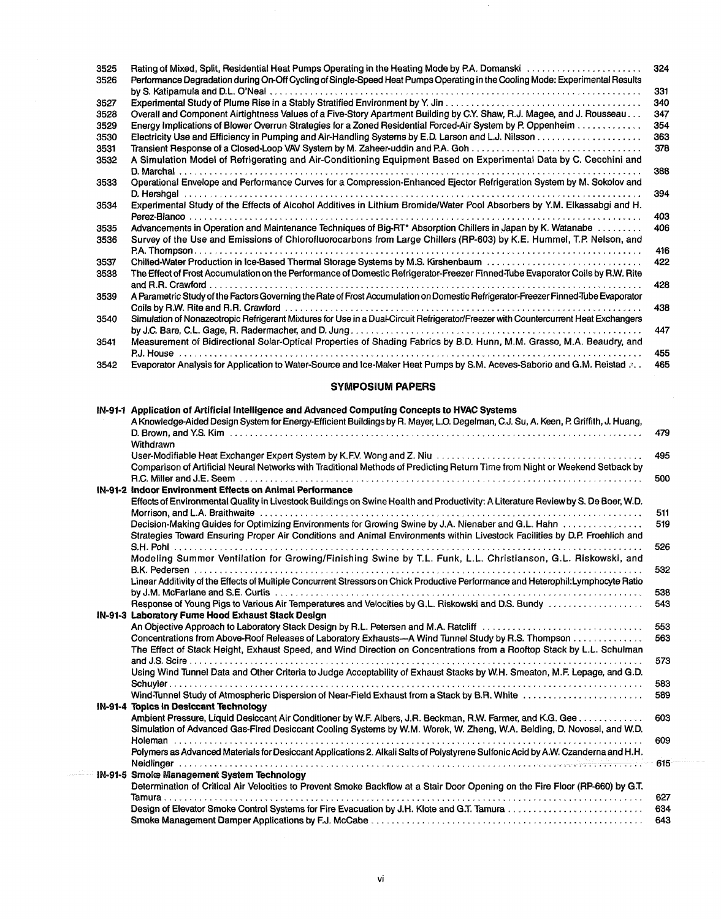| 3525<br>3526 | Rating of Mixed, Split, Residential Heat Pumps Operating in the Heating Mode by P.A. Domanski entertainment contains<br>Performance Degradation during On-Off Cycling of Single-Speed Heat Pumps Operating in the Cooling Mode: Experimental Results | 324 |
|--------------|------------------------------------------------------------------------------------------------------------------------------------------------------------------------------------------------------------------------------------------------------|-----|
|              |                                                                                                                                                                                                                                                      | 331 |
| 3527         |                                                                                                                                                                                                                                                      | 340 |
| 3528         | Overall and Component Airtightness Values of a Five-Story Apartment Building by C.Y. Shaw, R.J. Magee, and J. Rousseau                                                                                                                               | 347 |
| 3529         | Energy Implications of Blower Overrun Strategies for a Zoned Residential Forced-Air System by P. Oppenheim                                                                                                                                           | 354 |
| 3530         |                                                                                                                                                                                                                                                      | 363 |
| 3531         |                                                                                                                                                                                                                                                      | 378 |
| 3532         | A Simulation Model of Refrigerating and Air-Conditioning Equipment Based on Experimental Data by C. Cecchini and                                                                                                                                     |     |
|              |                                                                                                                                                                                                                                                      | 388 |
| 3533         | Operational Envelope and Performance Curves for a Compression-Enhanced Ejector Refrigeration System by M. Sokolov and                                                                                                                                |     |
|              |                                                                                                                                                                                                                                                      | 394 |
| 3534         | Experimental Study of the Effects of Alcohol Additives in Lithium Bromide/Water Pool Absorbers by Y.M. Elkassabgi and H.                                                                                                                             | 403 |
| 3535         | Advancements in Operation and Maintenance Techniques of Big-RT* Absorption Chillers in Japan by K. Watanabe                                                                                                                                          | 406 |
| 3536         | Survey of the Use and Emissions of Chlorofluorocarbons from Large Chillers (RP-603) by K.E. Hummel, T.P. Nelson, and                                                                                                                                 |     |
|              |                                                                                                                                                                                                                                                      | 416 |
| 3537         | Chilled-Water Production in Ice-Based Thermal Storage Systems by M.S. Kirshenbaum                                                                                                                                                                    | 422 |
| 3538         | The Effect of Frost Accumulation on the Performance of Domestic Refrigerator-Freezer Finned-Tube Evaporator Coils by R.W. Rite                                                                                                                       |     |
|              |                                                                                                                                                                                                                                                      | 428 |
| 3539         | A Parametric Study of the Factors Governing the Rate of Frost Accumulation on Domestic Refrigerator-Freezer Finned-Tube Evaporator                                                                                                                   |     |
|              |                                                                                                                                                                                                                                                      | 438 |
| 3540         | Simulation of Nonazeotropic Refrigerant Mixtures for Use in a Dual-Circuit Refrigerator/Freezer with Countercurrent Heat Exchangers                                                                                                                  |     |
|              |                                                                                                                                                                                                                                                      | 447 |
| 3541         | Measurement of Bidirectional Solar-Optical Properties of Shading Fabrics by B.D. Hunn, M.M. Grasso, M.A. Beaudry, and                                                                                                                                |     |
|              |                                                                                                                                                                                                                                                      | 455 |
| 3542         | Evaporator Analysis for Application to Water-Source and Ice-Maker Heat Pumps by S.M. Aceves-Saborio and G.M. Reistad a.                                                                                                                              | 465 |

 $\bar{z}$ 

## **SYMPOSIUM PAPERS**

| IN-91-1 Application of Artificial Intelligence and Advanced Computing Concepts to HVAC Systems                                      |     |
|-------------------------------------------------------------------------------------------------------------------------------------|-----|
| A Knowledge-Aided Design System for Energy-Efficient Buildings by R. Mayer, L.O. Degelman, C.J. Su, A. Keen, P. Griffith, J. Huang, |     |
|                                                                                                                                     | 479 |
| Withdrawn                                                                                                                           |     |
|                                                                                                                                     | 495 |
| Comparison of Artificial Neural Networks with Traditional Methods of Predicting Return Time from Night or Weekend Setback by        |     |
|                                                                                                                                     | 500 |
| IN-91-2 Indoor Environment Effects on Animal Performance                                                                            |     |
| Effects of Environmental Quality in Livestock Buildings on Swine Health and Productivity: A Literature Review by S. De Boer, W.D.   |     |
|                                                                                                                                     | 511 |
| Decision-Making Guides for Optimizing Environments for Growing Swine by J.A. Nienaber and G.L. Hahn                                 | 519 |
| Strategies Toward Ensuring Proper Air Conditions and Animal Environments within Livestock Facilities by D.P. Froehlich and          |     |
| $S.H.$ Pohl $\ldots$ , $\ldots$ , $\ldots$ , $\ldots$                                                                               | 526 |
|                                                                                                                                     |     |
| Modeling Summer Ventilation for Growing/Finishing Swine by T.L. Funk, L.L. Christianson, G.L. Riskowski, and                        |     |
| $B.K.$ Pedersen $\ldots \ldots \ldots \ldots \ldots \ldots$                                                                         | 532 |
| Linear Additivity of the Effects of Multiple Concurrent Stressors on Chick Productive Performance and Heterophil: Lymphocyte Ratio  |     |
| by J.M. McFarlane and S.E. Curtis $\ldots, \ldots, \ldots, \ldots, \ldots, \ldots, \ldots$<br>. <i>.</i>                            | 538 |
| Response of Young Pigs to Various Air Temperatures and Velocities by G.L. Riskowski and D.S. Bundy                                  | 543 |
| IN-91-3 Laboratory Fume Hood Exhaust Stack Design                                                                                   |     |
| An Objective Approach to Laboratory Stack Design by R.L. Petersen and M.A. Ratcliff                                                 | 553 |
| Concentrations from Above-Roof Releases of Laboratory Exhausts--A Wind Tunnel Study by R.S. Thompson                                | 563 |
| The Effect of Stack Height, Exhaust Speed, and Wind Direction on Concentrations from a Rooftop Stack by L.L. Schulman               |     |
| and J.S. Scire $\ldots \ldots \ldots \ldots \ldots \ldots$                                                                          | 573 |
| Using Wind Tunnel Data and Other Criteria to Judge Acceptability of Exhaust Stacks by W.H. Smeaton, M.F. Lepage, and G.D.           |     |
|                                                                                                                                     | 583 |
| Wind-Tunnel Study of Atmospheric Dispersion of Near-Field Exhaust from a Stack by B.R. White                                        | 589 |
| IN-91-4 Topics in Desiccant Technology                                                                                              |     |
| Ambient Pressure, Liquid Desiccant Air Conditioner by W.F. Albers, J.R. Beckman, R.W. Farmer, and K.G. Gee                          | 603 |
| Simulation of Advanced Gas-Fired Desiccant Cooling Systems by W.M. Worek, W. Zheng, W.A. Belding, D. Novosel, and W.D.              |     |
|                                                                                                                                     | 609 |
| Polymers as Advanced Materials for Desiccant Applications 2. Alkali Salts of Polystyrene Sulfonic Acid by A.W. Czanderna and H.H.   |     |
|                                                                                                                                     | 615 |
| IN-91-5 Smoke Management System Technology                                                                                          |     |
| Determination of Critical Air Velocities to Prevent Smoke Backflow at a Stair Door Opening on the Fire Floor (RP-660) by G.T.       |     |
|                                                                                                                                     | 627 |
|                                                                                                                                     | 634 |
|                                                                                                                                     |     |
|                                                                                                                                     | 643 |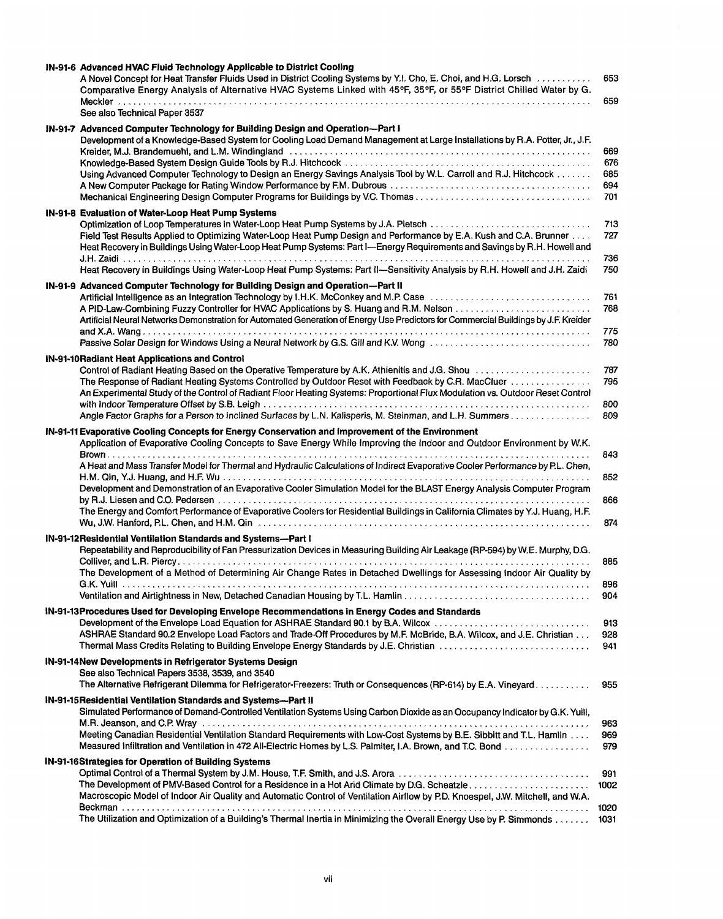| IN-91-6 Advanced HVAC Fluid Technology Applicable to District Cooling<br>A Novel Concept for Heat Transfer Fluids Used in District Cooling Systems by Y.I. Cho, E. Choi, and H.G. Lorsch<br>Comparative Energy Analysis of Alternative HVAC Systems Linked with 45°F, 35°F, or 55°F District Chilled Water by G.                                                                                                                                                                                                                                                                                                                                  | 653<br>659                      |
|---------------------------------------------------------------------------------------------------------------------------------------------------------------------------------------------------------------------------------------------------------------------------------------------------------------------------------------------------------------------------------------------------------------------------------------------------------------------------------------------------------------------------------------------------------------------------------------------------------------------------------------------------|---------------------------------|
| See also Technical Paper 3537                                                                                                                                                                                                                                                                                                                                                                                                                                                                                                                                                                                                                     |                                 |
| IN-91-7 Advanced Computer Technology for Building Design and Operation-Part I<br>Development of a Knowledge-Based System for Cooling Load Demand Management at Large Installations by R.A. Potter, Jr., J.F.<br>Kreider, M.J. Brandemuehl, and L.M. Windingland (and the contract of the contract of the contract of the contract of the contract of the contract of the contract of the contract of the contract of the contract of the contr<br>Using Advanced Computer Technology to Design an Energy Savings Analysis Tool by W.L. Carroll and R.J. Hitchcock<br>Mechanical Engineering Design Computer Programs for Buildings by V.C. Thomas | 669<br>676<br>685<br>694<br>701 |
| IN-91-8 Evaluation of Water-Loop Heat Pump Systems<br>Field Test Results Applied to Optimizing Water-Loop Heat Pump Design and Performance by E.A. Kush and C.A. Brunner<br>Heat Recovery in Buildings Using Water-Loop Heat Pump Systems: Part I-Energy Requirements and Savings by R.H. Howell and<br>Heat Recovery in Buildings Using Water-Loop Heat Pump Systems: Part II--Sensitivity Analysis by R.H. Howell and J.H. Zaidi                                                                                                                                                                                                                | 713<br>727<br>736<br>750        |
| IN-91-9 Advanced Computer Technology for Building Design and Operation-Part II<br>Artificial Intelligence as an Integration Technology by I.H.K. McConkey and M.P. Case<br>Artificial Neural Networks Demonstration for Automated Generation of Energy Use Predictors for Commercial Buildings by J.F. Kreider<br>Passive Solar Design for Windows Using a Neural Network by G.S. Gill and K.V. Wong [[[[[[[[[[[[[[[[[[[[[[[[[[]]]]]]]                                                                                                                                                                                                            | 761<br>768<br>775<br>780        |
| IN-91-10 Radiant Heat Applications and Control<br>The Response of Radiant Heating Systems Controlled by Outdoor Reset with Feedback by C.R. MacCluer<br>An Experimental Study of the Control of Radiant Floor Heating Systems: Proportional Flux Modulation vs. Outdoor Reset Control                                                                                                                                                                                                                                                                                                                                                             | 787<br>795                      |
| Angle Factor Graphs for a Person to Inclined Surfaces by L.N. Kalisperis, M. Steinman, and L.H. Summers                                                                                                                                                                                                                                                                                                                                                                                                                                                                                                                                           | 800<br>809                      |
| IN-91-11 Evaporative Cooling Concepts for Energy Conservation and Improvement of the Environment<br>Application of Evaporative Cooling Concepts to Save Energy While Improving the Indoor and Outdoor Environment by W.K.                                                                                                                                                                                                                                                                                                                                                                                                                         | 843                             |
| A Heat and Mass Transfer Model for Thermal and Hydraulic Calculations of Indirect Evaporative Cooler Performance by P.L. Chen,<br>Development and Demonstration of an Evaporative Cooler Simulation Model for the BLAST Energy Analysis Computer Program                                                                                                                                                                                                                                                                                                                                                                                          | 852                             |
| The Energy and Comfort Performance of Evaporative Coolers for Residential Buildings in California Climates by Y.J. Huang, H.F.                                                                                                                                                                                                                                                                                                                                                                                                                                                                                                                    | 866<br>874                      |
| IN-91-12 Residential Ventilation Standards and Systems-Part I<br>Repeatability and Reproducibility of Fan Pressurization Devices in Measuring Building Air Leakage (RP-594) by W.E. Murphy, D.G.<br>The Development of a Method of Determining Air Change Rates in Detached Dwellings for Assessing Indoor Air Quality by                                                                                                                                                                                                                                                                                                                         | 885                             |
|                                                                                                                                                                                                                                                                                                                                                                                                                                                                                                                                                                                                                                                   | 896<br>904                      |
| IN-91-13Procedures Used for Developing Envelope Recommendations in Energy Codes and Standards<br>Development of the Envelope Load Equation for ASHRAE Standard 90.1 by B.A. Wilcox<br>ASHRAE Standard 90.2 Envelope Load Factors and Trade-Off Procedures by M.F. McBride, B.A. Wilcox, and J.E. Christian<br>Thermal Mass Credits Relating to Building Envelope Energy Standards by J.E. Christian                                                                                                                                                                                                                                               | 913<br>928<br>941               |
| IN-91-14 New Developments in Refrigerator Systems Design<br>See also Technical Papers 3538, 3539, and 3540<br>The Alternative Refrigerant Dilemma for Refrigerator-Freezers: Truth or Consequences (RP-614) by E.A. Vineyard                                                                                                                                                                                                                                                                                                                                                                                                                      | 955                             |
| IN-91-15 Residential Ventilation Standards and Systems-Part II<br>Simulated Performance of Demand-Controlled Ventilation Systems Using Carbon Dioxide as an Occupancy Indicator by G.K. Yuill,<br>M.R. Jeanson, and C.P. Wray encourage to the contract of the contract of the contract of the contract of the contract of the contract of the contract of the contract of the contract of the contract of the contract of the c<br>Meeting Canadian Residential Ventilation Standard Requirements with Low-Cost Systems by B.E. Sibbitt and T.L. Hamlin                                                                                          | 963<br>969<br>979               |
| IN-91-16Strategies for Operation of Building Systems<br>Macroscopic Model of Indoor Air Quality and Automatic Control of Ventilation Airflow by P.D. Knoespel, J.W. Mitchell, and W.A.                                                                                                                                                                                                                                                                                                                                                                                                                                                            | 991<br>1002                     |
| The Utilization and Optimization of a Building's Thermal Inertia in Minimizing the Overall Energy Use by P. Simmonds                                                                                                                                                                                                                                                                                                                                                                                                                                                                                                                              | 1020<br>1031                    |